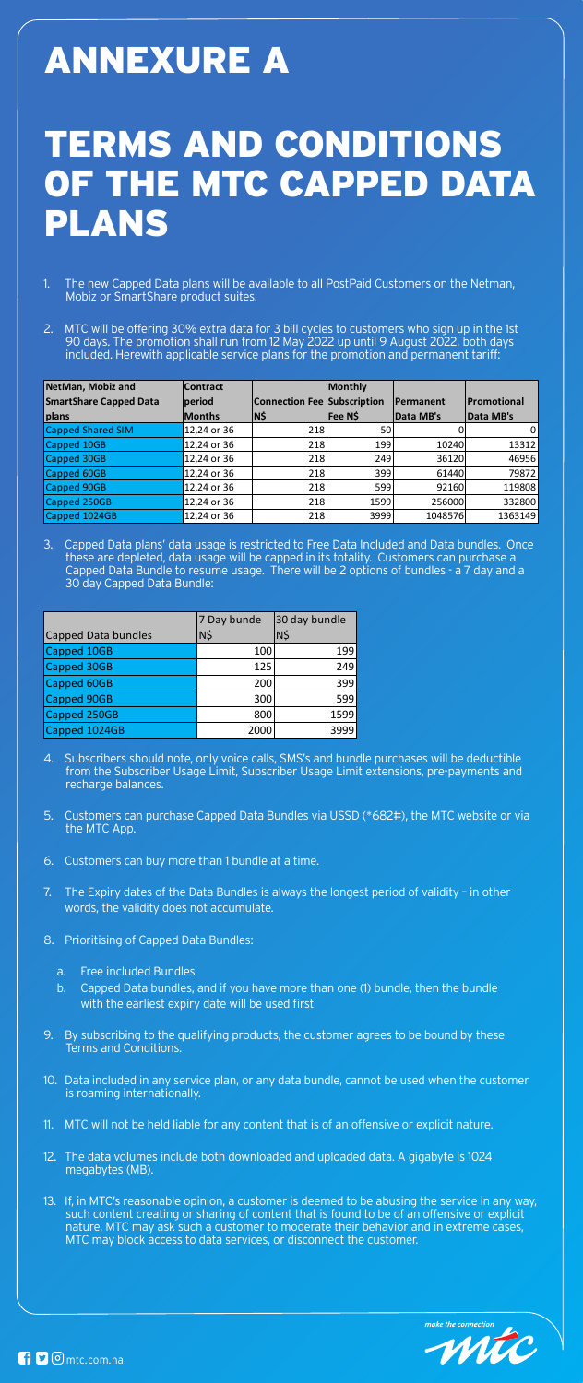## ANNEXURE A

## TERMS AND CONDITIONS OF THE MTC CAPPED DATA PLANS

- 1. The new Capped Data plans will be available to all PostPaid Customers on the Netman, Mobiz or SmartShare product suites.
- 2. MTC will be offering 30% extra data for 3 bill cycles to customers who sign up in the 1st 90 days. The promotion shall run from 12 May 2022 up until 9 August 2022, both days included. Herewith applicable service plans for the promotion and permanent tariff:

3. Capped Data plans' data usage is restricted to Free Data Included and Data bundles. Once these are depleted, data usage will be capped in its totality. Customers can purchase a Capped Data Bundle to resume usage. There will be 2 options of bundles - a 7 day and a 30 day Capped Data Bundle:

| NetMan, Mobiz and             | <b>Contract</b> |                                    | Monthly |           |             |
|-------------------------------|-----------------|------------------------------------|---------|-----------|-------------|
| <b>SmartShare Capped Data</b> | period          | <b>Connection Fee Subscription</b> |         | Permanent | Promotional |
| plans                         | <b>Months</b>   | N\$                                | Fee N\$ | Data MB's | Data MB's   |
| <b>Capped Shared SIM</b>      | 12,24 or 36     | 218                                | 50      |           | 0           |
| <b>Capped 10GB</b>            | 12,24 or 36     | 218                                | 199     | 10240     | 13312       |
| Capped 30GB                   | 12,24 or 36     | 218                                | 249     | 36120     | 46956       |
| Capped 60GB                   | 12,24 or 36     | 218                                | 399     | 61440     | 79872       |
| <b>Capped 90GB</b>            | 12,24 or 36     | 218                                | 599     | 92160     | 119808      |
| Capped 250GB                  | 12,24 or 36     | 218                                | 1599    | 256000    | 332800      |
| Capped 1024GB                 | 12,24 or 36     | 218                                | 3999    | 1048576   | 1363149     |

|                            | 7 Day bunde | 30 day bundle |
|----------------------------|-------------|---------------|
| <b>Capped Data bundles</b> | N\$         | N\$           |
| <b>Capped 10GB</b>         | 100         | 199           |
| <b>Capped 30GB</b>         | 125         | 249           |
| Capped 60GB                | 200         | 399           |
| <b>Capped 90GB</b>         | 300         | 599           |
| Capped 250GB               | 800         | 1599          |
| Capped 1024GB              | 2000        | 3999          |

- 4. Subscribers should note, only voice calls, SMS's and bundle purchases will be deductible from the Subscriber Usage Limit, Subscriber Usage Limit extensions, pre-payments and recharge balances.
- 5. Customers can purchase Capped Data Bundles via USSD (\*682#), the MTC website or via the MTC App.
- 6. Customers can buy more than 1 bundle at a time.
- 7. The Expiry dates of the Data Bundles is always the longest period of validity in other words, the validity does not accumulate.
- 8. Prioritising of Capped Data Bundles:
	- a. Free included Bundles
	- b. Capped Data bundles, and if you have more than one (1) bundle, then the bundle with the earliest expiry date will be used first
- 9. By subscribing to the qualifying products, the customer agrees to be bound by these Terms and Conditions.
- 10. Data included in any service plan, or any data bundle, cannot be used when the customer is roaming internationally.
- 11. MTC will not be held liable for any content that is of an offensive or explicit nature.
- 12. The data volumes include both downloaded and uploaded data. A gigabyte is 1024 megabytes (MB).
- 13. If, in MTC's reasonable opinion, a customer is deemed to be abusing the service in any way, such content creating or sharing of content that is found to be of an offensive or explicit nature, MTC may ask such a customer to moderate their behavior and in extreme cases, MTC may block access to data services, or disconnect the customer.



 $\bigcap$   $\bigcup$   $\bigcirc$  mtc.com.na